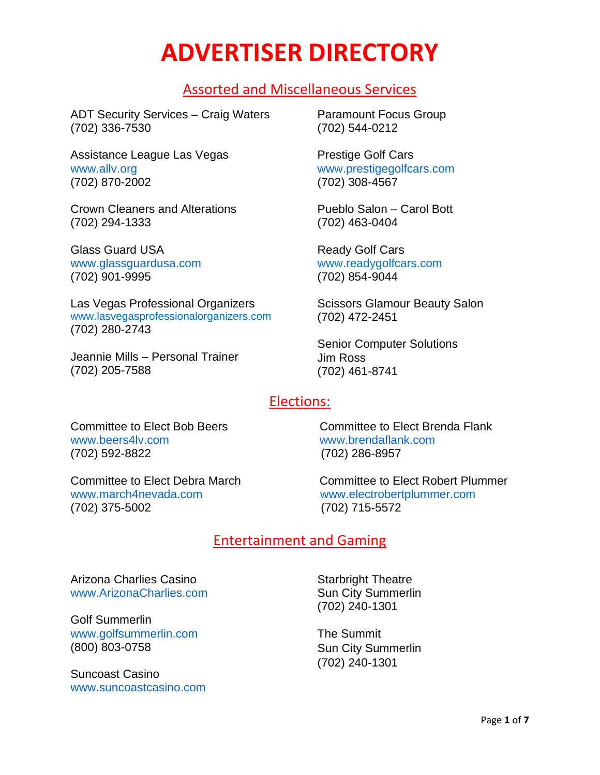# **ADVERTISER DIRECTORY**

# Assorted and Miscellaneous Services

ADT Security Services – Craig Waters (702) 336-7530

Assistance League Las Vegas [www.allv.org](http://www.allv.org/) (702) 870-2002

Crown Cleaners and Alterations (702) 294-1333

Glass Guard USA [www.glassguardusa.com](http://www.glassguardusa.com/) (702) 901-9995

Las Vegas Professional Organizers [www.lasvegasprofessionalorganizers.com](http://www.lasvegasprofessionalorganizers.com/) (702) 280-2743

Jeannie Mills – Personal Trainer (702) 205-7588

Paramount Focus Group (702) 544-0212

Prestige Golf Cars [www.prestigegolfcars.com](http://www.prestigegolfcars.com/) (702) 308-4567

Pueblo Salon – Carol Bott (702) 463-0404

Ready Golf Cars [www.readygolfcars.com](http://www.readygolfcars.com/) (702) 854-9044

Scissors Glamour Beauty Salon (702) 472-2451

Senior Computer Solutions Jim Ross (702) 461-8741

# Elections:

Committee to Elect Bob Beers Committee to Elect Brenda Flank [www.beers4lv.com](http://www.beers4lv.com/) [www.brendaflank.com](http://www.march4nevada.com/) (702) 592-8822 (702) 286-8957

Committee to Elect Debra March Committee to Elect Robert Plummer

[www.march4nevada.com](http://www.march4nevada.com/) [www.electrobertplummer.com](http://www.electrobertplummer.com/) (702) 375-5002 (702) 715-5572

# Entertainment and Gaming

Arizona Charlies Casino [www.ArizonaCharlies.com](http://www.arizonacharlies.com/)

Golf Summerlin [www.golfsummerlin.com](http://www.golfsummerlin.com/) (800) 803-0758

Suncoast Casino [www.suncoastcasino.com](http://www.suncoastcasino.com/) Starbright Theatre Sun City Summerlin (702) 240-1301

The Summit Sun City Summerlin (702) 240-1301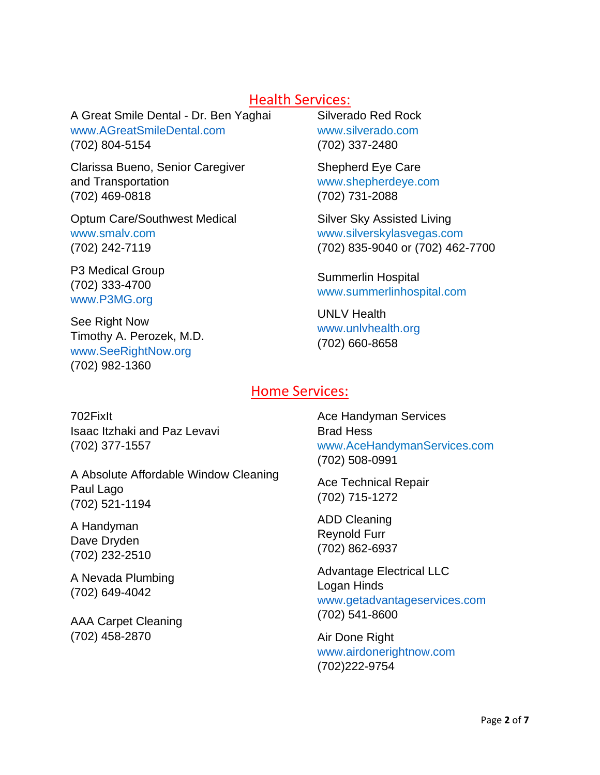### Health Services:

A Great Smile Dental - Dr. Ben Yaghai [www.AGreatSmileDental.com](http://www.agreatsmiledental.com/) (702) 804-5154

Clarissa Bueno, Senior Caregiver and Transportation (702) 469-0818

Optum Care/Southwest Medical www.smalv.com (702) 242-7119

P3 Medical Group (702) 333-4700 [www.P3MG.org](http://www.p3mg.org/)

See Right Now Timothy A. Perozek, M.D. [www.SeeRightNow.org](http://www.seerightnow.org/) (702) 982-1360

Silverado Red Rock www.silverado.com (702) 337-2480

Shepherd Eye Care [www.shepherdeye.com](http://www.shepherdeye.com/) (702) 731-2088

Silver Sky Assisted Living [www.silverskylasvegas.com](http://www.silverskylasvegas.com/) (702) 835-9040 or (702) 462-7700

Summerlin Hospital [www.summerlinhospital.com](http://www.summerlinhospital.com/)

UNLV Health [www.unlvhealth.org](http://www.p3mg.org/)  (702) 660-8658

### Home Services:

702FixIt Isaac Itzhaki and Paz Levavi (702) 377-1557

A Absolute Affordable Window Cleaning Paul Lago (702) 521-1194

A Handyman Dave Dryden (702) 232-2510

A Nevada Plumbing (702) 649-4042

AAA Carpet Cleaning (702) 458-2870

Ace Handyman Services Brad Hess [www.AceHandymanServices.com](http://www.acehandymanservices.com/) (702) 508-0991

Ace Technical Repair (702) 715-1272

ADD Cleaning Reynold Furr (702) 862-6937

Advantage Electrical LLC Logan Hinds [www.getadvantageservices.com](http://www.getadvantageservices.com/) (702) 541-8600

Air Done Right [www.airdonerightnow.com](http://www.airdonerightnow.com/)  (702)222-9754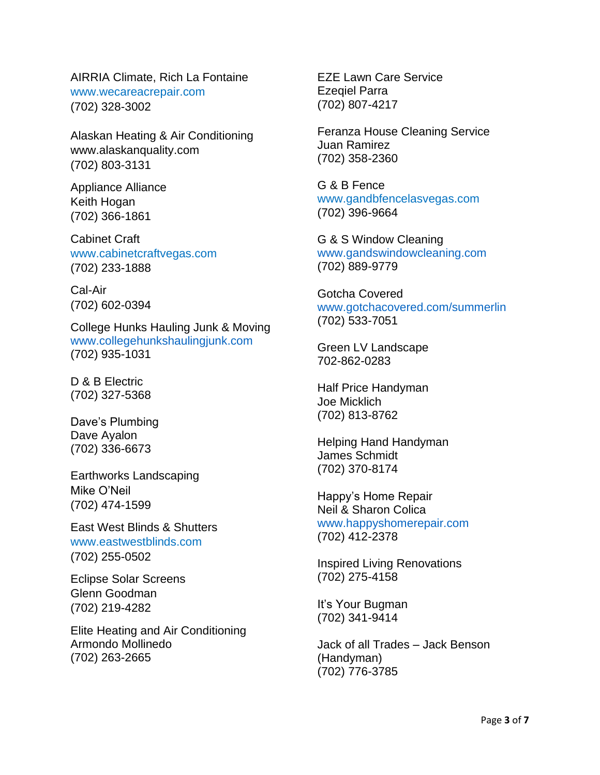AIRRIA Climate, Rich La Fontaine www.wecareacrepair.com (702) 328-3002

Alaskan Heating & Air Conditioning www.alaskanquality.com (702) 803-3131

Appliance Alliance Keith Hogan (702) 366-1861

Cabinet Craft www.cabinetcraftvegas.com (702) 233-1888

Cal-Air (702) 602-0394

College Hunks Hauling Junk & Moving [www.collegehunkshaulingjunk.com](http://www.gotchacovered.com/summerlin) (702) 935-1031

D & B Electric (702) 327-5368

Dave's Plumbing Dave Ayalon (702) 336-6673

Earthworks Landscaping Mike O'Neil (702) 474-1599

East West Blinds & Shutters www.eastwestblinds.com (702) 255-0502

Eclipse Solar Screens Glenn Goodman (702) 219-4282

Elite Heating and Air Conditioning Armondo Mollinedo (702) 263-2665

EZE Lawn Care Service Ezeqiel Parra (702) 807-4217

Feranza House Cleaning Service Juan Ramirez (702) 358-2360

G & B Fence www.gandbfencelasvegas.com (702) 396-9664

G & S Window Cleaning [www.gandswindowcleaning.com](http://www.gandswindowcleaning.com/) (702) 889-9779

Gotcha Covered [www.gotchacovered.com/summerlin](http://www.gotchacovered.com/summerlin) (702) 533-7051

Green LV Landscape 702-862-0283

Half Price Handyman Joe Micklich (702) 813-8762

Helping Hand Handyman James Schmidt (702) 370-8174

Happy's Home Repair Neil & Sharon Colica [www.happyshomerepair.com](http://www.happyshomerepair.com/) (702) 412-2378

Inspired Living Renovations (702) 275-4158

It's Your Bugman (702) 341-9414

Jack of all Trades – Jack Benson (Handyman) (702) 776-3785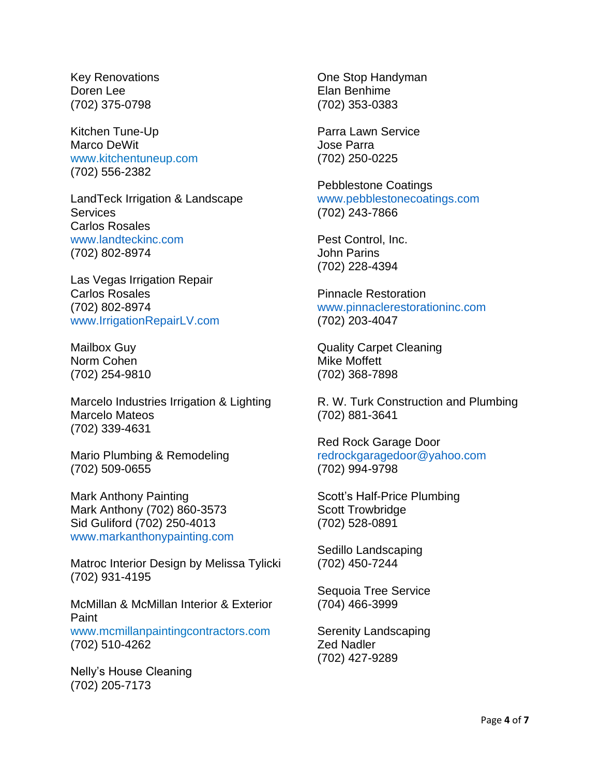Key Renovations Doren Lee (702) 375-0798

Kitchen Tune-Up Marco DeWit www.kitchentuneup.com (702) 556-2382

LandTeck Irrigation & Landscape **Services** Carlos Rosales [www.landteckinc.com](http://www.landteckinc.com/) (702) 802-8974

Las Vegas Irrigation Repair Carlos Rosales (702) 802-8974 [www.IrrigationRepairLV.com](http://www.irrigationrepairlv.com/)

Mailbox Guy Norm Cohen (702) 254-9810

Marcelo Industries Irrigation & Lighting Marcelo Mateos (702) 339-4631

Mario Plumbing & Remodeling (702) 509-0655

Mark Anthony Painting Mark Anthony (702) 860-3573 Sid Guliford (702) 250-4013 [www.markanthonypainting.com](http://www.markanthonypainting.com/)

Matroc Interior Design by Melissa Tylicki (702) 931-4195

McMillan & McMillan Interior & Exterior Paint www.mcmillanpaintingcontractors.com (702) 510-4262

Nelly's House Cleaning (702) 205-7173

One Stop Handyman Elan Benhime (702) 353-0383

Parra Lawn Service Jose Parra (702) 250-0225

Pebblestone Coatings [www.pebblestonecoatings.com](http://www.pebblestonecoatings.com/) (702) 243-7866

Pest Control, Inc. John Parins (702) 228-4394

Pinnacle Restoration [www.pinnaclerestorationinc.com](http://www.pinnaclerestorationinc.com/) (702) 203-4047

Quality Carpet Cleaning Mike Moffett (702) 368-7898

R. W. Turk Construction and Plumbing (702) 881-3641

Red Rock Garage Door [redrockgaragedoor@yahoo.com](mailto:redrockgaragedoor@yahoo.com) (702) 994-9798

Scott's Half-Price Plumbing Scott Trowbridge (702) 528-0891

Sedillo Landscaping (702) 450-7244

Sequoia Tree Service (704) 466-3999

Serenity Landscaping Zed Nadler (702) 427-9289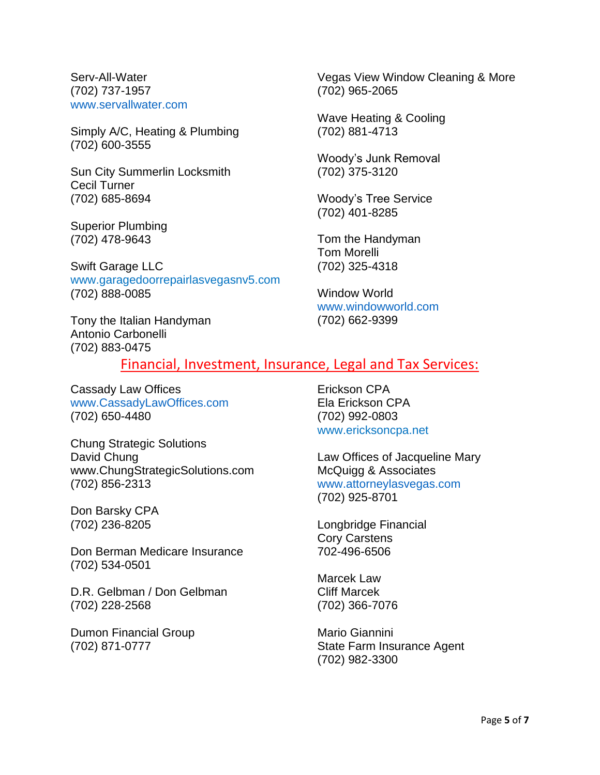Serv-All-Water (702) 737-1957 [www.servallwater.com](http://www.servallwater.com/)

Simply A/C, Heating & Plumbing (702) 600-3555

Sun City Summerlin Locksmith Cecil Turner (702) 685-8694

Superior Plumbing (702) 478-9643

Swift Garage LLC www.garagedoorrepairlasvegasnv5.com (702) 888-0085

Tony the Italian Handyman Antonio Carbonelli (702) 883-0475

Vegas View Window Cleaning & More (702) 965-2065

Wave Heating & Cooling (702) 881-4713

Woody's Junk Removal (702) 375-3120

Woody's Tree Service (702) 401-8285

Tom the Handyman Tom Morelli (702) 325-4318

Window World [www.windowworld.com](http://www.windowworld.com/) (702) 662-9399

#### Financial, Investment, Insurance, Legal and Tax Services:

Cassady Law Offices [www.CassadyLawOffices.com](http://www.cassadylawoffices.com/) (702) 650-4480

Chung Strategic Solutions David Chung www.ChungStrategicSolutions.com (702) 856-2313

Don Barsky CPA (702) 236-8205

Don Berman Medicare Insurance (702) 534-0501

D.R. Gelbman / Don Gelbman (702) 228-2568

Dumon Financial Group (702) 871-0777

Erickson CPA Ela Erickson CPA (702) 992-0803 www.ericksoncpa.net

Law Offices of Jacqueline Mary McQuigg & Associates [www.attorneylasvegas.com](http://www.attorneylasvegas.com/) (702) 925-8701

Longbridge Financial Cory Carstens 702-496-6506

Marcek Law Cliff Marcek (702) 366-7076

Mario Giannini State Farm Insurance Agent (702) 982-3300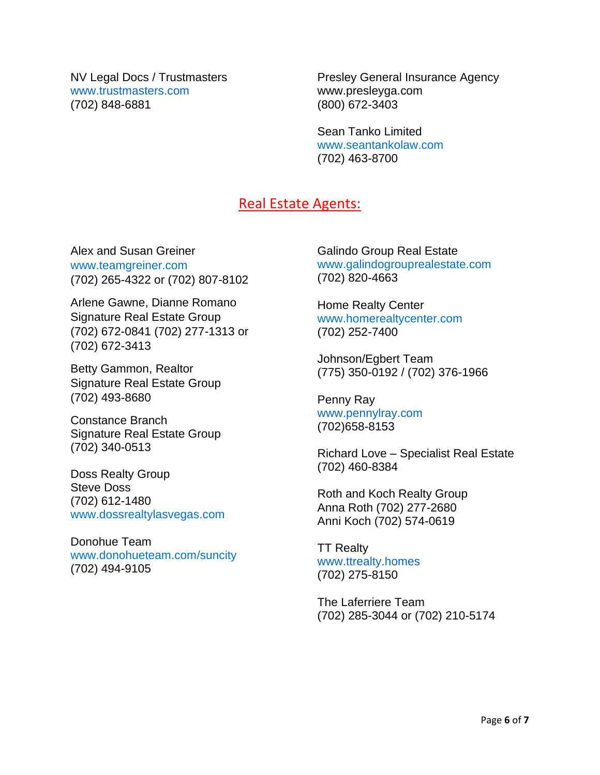NV Legal Docs / Trustmasters [www.trustmasters.com](http://www.trustmasters.com/) (702) 848-6881

Presley General Insurance Agency www.presleyga.com (800) 672-3403

Sean Tanko Limited www.seantankolaw.com (702) 463-8700

## Real Estate Agents:

Alex and Susan Greiner www.teamgreiner.com (702) 265-4322 or (702) 807-8102

Arlene Gawne, Dianne Romano Signature Real Estate Group (702) 672-0841 (702) 277-1313 or (702) 672-3413

Betty Gammon, Realtor Signature Real Estate Group (702) 493-8680

Constance Branch Signature Real Estate Group (702) 340-0513

Doss Realty Group Steve Doss (702) 612-1480 www.dossrealtylasvegas.com

Donohue Team www.donohueteam.com/suncity (702) 494-9105

Galindo Group Real Estate www.galindogrouprealestate.com (702) 820-4663

Home Realty Center www.homerealtycenter.com (702) 252-7400

Johnson/Egbert Team (775) 350-0192 / (702) 376-1966

Penny Ray [www.pennylray.com](http://www.pennylray.com/) (702)658-8153

Richard Love – Specialist Real Estate (702) 460-8384

Roth and Koch Realty Group Anna Roth (702) 277-2680 Anni Koch (702) 574-0619

TT Realty [www.ttrealty.homes](http://www.ttrealty.homes/) (702) 275-8150

The Laferriere Team (702) 285-3044 or (702) 210-5174